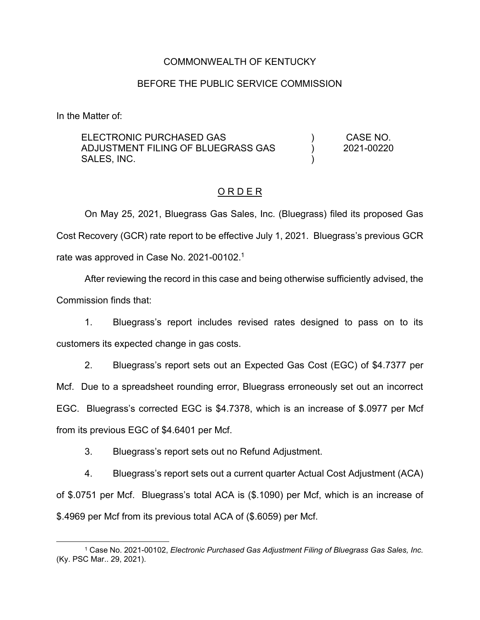### COMMONWEALTH OF KENTUCKY

#### BEFORE THE PUBLIC SERVICE COMMISSION

In the Matter of:

ELECTRONIC PURCHASED GAS ADJUSTMENT FILING OF BLUEGRASS GAS SALES, INC. ) ) ) CASE NO. 2021-00220

#### O R D E R

On May 25, 2021, Bluegrass Gas Sales, Inc. (Bluegrass) filed its proposed Gas Cost Recovery (GCR) rate report to be effective July 1, 2021. Bluegrass's previous GCR rate was approved in Case No. 2021-00102.<sup>1</sup>

After reviewing the record in this case and being otherwise sufficiently advised, the Commission finds that:

1. Bluegrass's report includes revised rates designed to pass on to its customers its expected change in gas costs.

2. Bluegrass's report sets out an Expected Gas Cost (EGC) of \$4.7377 per Mcf. Due to a spreadsheet rounding error, Bluegrass erroneously set out an incorrect EGC. Bluegrass's corrected EGC is \$4.7378, which is an increase of \$.0977 per Mcf from its previous EGC of \$4.6401 per Mcf.

3. Bluegrass's report sets out no Refund Adjustment.

4. Bluegrass's report sets out a current quarter Actual Cost Adjustment (ACA) of \$.0751 per Mcf. Bluegrass's total ACA is (\$.1090) per Mcf, which is an increase of \$.4969 per Mcf from its previous total ACA of (\$.6059) per Mcf.

<sup>1</sup> Case No. 2021-00102, *Electronic Purchased Gas Adjustment Filing of Bluegrass Gas Sales, Inc.* (Ky. PSC Mar.. 29, 2021).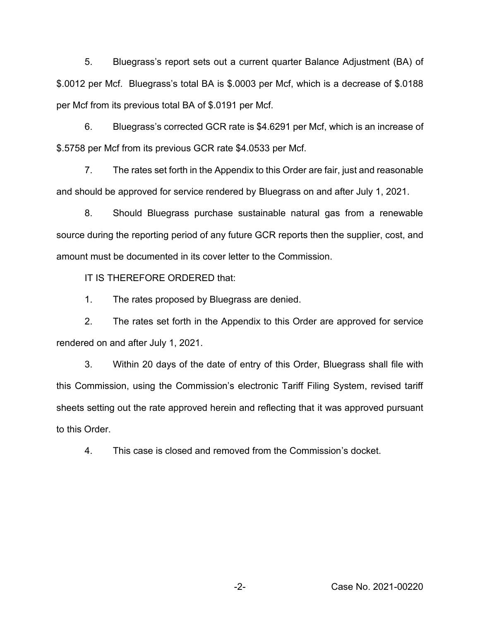5. Bluegrass's report sets out a current quarter Balance Adjustment (BA) of \$.0012 per Mcf. Bluegrass's total BA is \$.0003 per Mcf, which is a decrease of \$.0188 per Mcf from its previous total BA of \$.0191 per Mcf.

6. Bluegrass's corrected GCR rate is \$4.6291 per Mcf, which is an increase of \$.5758 per Mcf from its previous GCR rate \$4.0533 per Mcf.

7. The rates set forth in the Appendix to this Order are fair, just and reasonable and should be approved for service rendered by Bluegrass on and after July 1, 2021.

8. Should Bluegrass purchase sustainable natural gas from a renewable source during the reporting period of any future GCR reports then the supplier, cost, and amount must be documented in its cover letter to the Commission.

IT IS THEREFORE ORDERED that:

1. The rates proposed by Bluegrass are denied.

2. The rates set forth in the Appendix to this Order are approved for service rendered on and after July 1, 2021.

3. Within 20 days of the date of entry of this Order, Bluegrass shall file with this Commission, using the Commission's electronic Tariff Filing System, revised tariff sheets setting out the rate approved herein and reflecting that it was approved pursuant to this Order.

4. This case is closed and removed from the Commission's docket.

-2- Case No. 2021-00220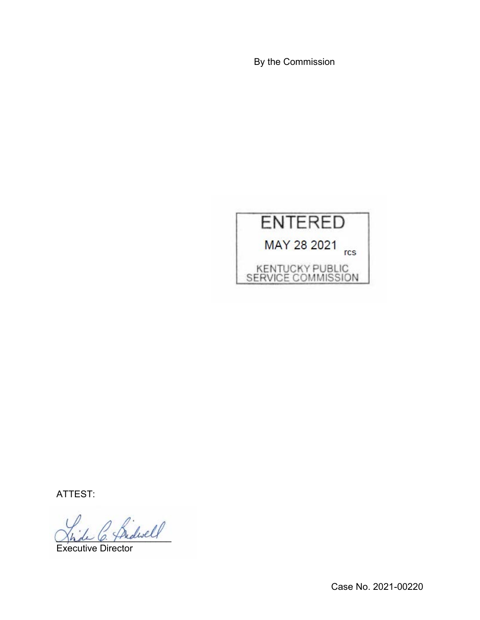By the Commission



ATTEST:

Indwell

Executive Director

Case No. 2021-00220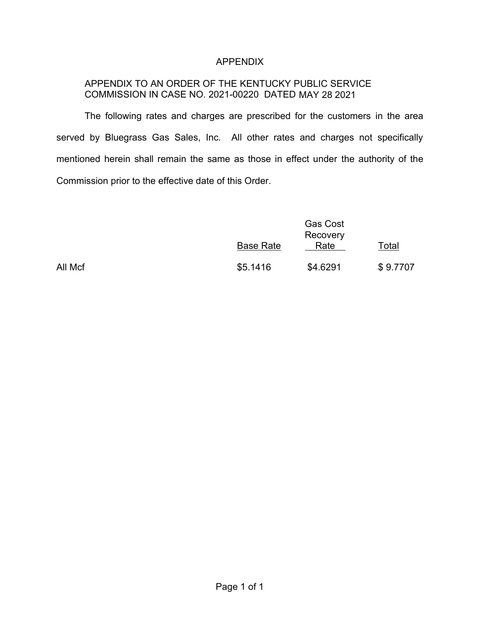## APPENDIX

# APPENDIX TO AN ORDER OF THE KENTUCKY PUBLIC SERVICE COMMISSION IN CASE NO. 2021-00220 DATED MAY 28 2021

The following rates and charges are prescribed for the customers in the area served by Bluegrass Gas Sales, Inc. All other rates and charges not specifically mentioned herein shall remain the same as those in effect under the authority of the Commission prior to the effective date of this Order.

|         | <b>Base Rate</b> | <b>Gas Cost</b><br>Recovery<br>Rate | Total    |
|---------|------------------|-------------------------------------|----------|
| All Mcf | \$5.1416         | \$4.6291                            | \$9.7707 |